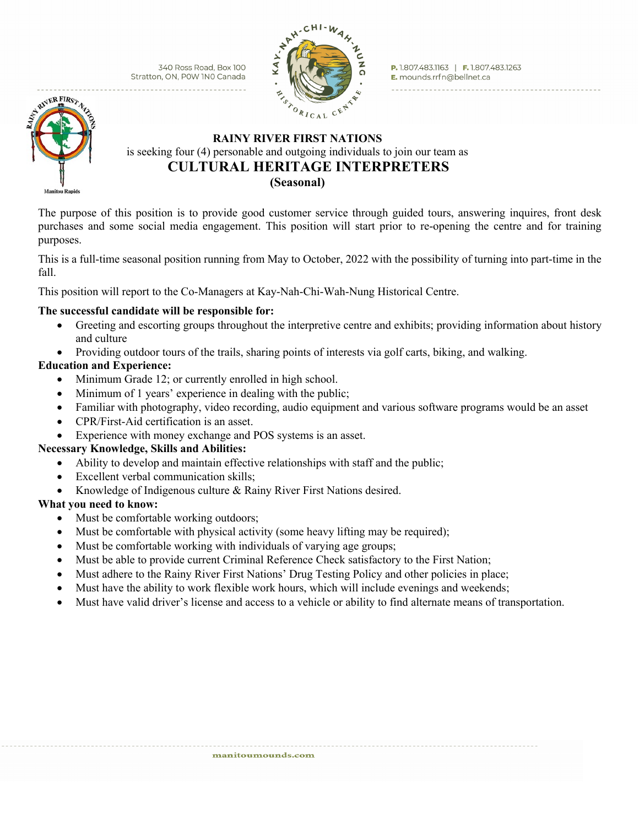340 Ross Road, Box 100 Stratton, ON, POW INO Canada



P. 1.807.483.1163 | F. 1.807.483.1263 E. mounds.rrfn@bellnet.ca



# **RAINY RIVER FIRST NATIONS** is seeking four (4) personable and outgoing individuals to join our team as  **CULTURAL HERITAGE INTERPRETERS (Seasonal)**

The purpose of this position is to provide good customer service through guided tours, answering inquires, front desk purchases and some social media engagement. This position will start prior to re-opening the centre and for training purposes.

This is a full-time seasonal position running from May to October, 2022 with the possibility of turning into part-time in the fall.

This position will report to the Co-Managers at Kay-Nah-Chi-Wah-Nung Historical Centre.

### **The successful candidate will be responsible for:**

- Greeting and escorting groups throughout the interpretive centre and exhibits; providing information about history and culture
- Providing outdoor tours of the trails, sharing points of interests via golf carts, biking, and walking.

## **Education and Experience:**

- Minimum Grade 12; or currently enrolled in high school.
- Minimum of 1 years' experience in dealing with the public;
- Familiar with photography, video recording, audio equipment and various software programs would be an asset
- CPR/First-Aid certification is an asset.
- Experience with money exchange and POS systems is an asset.

### **Necessary Knowledge, Skills and Abilities:**

- Ability to develop and maintain effective relationships with staff and the public;
- Excellent verbal communication skills;
- Knowledge of Indigenous culture & Rainy River First Nations desired.

## **What you need to know:**

- Must be comfortable working outdoors;
- Must be comfortable with physical activity (some heavy lifting may be required);
- Must be comfortable working with individuals of varying age groups;
- Must be able to provide current Criminal Reference Check satisfactory to the First Nation;
- Must adhere to the Rainy River First Nations' Drug Testing Policy and other policies in place;
- Must have the ability to work flexible work hours, which will include evenings and weekends;
- Must have valid driver's license and access to a vehicle or ability to find alternate means of transportation.